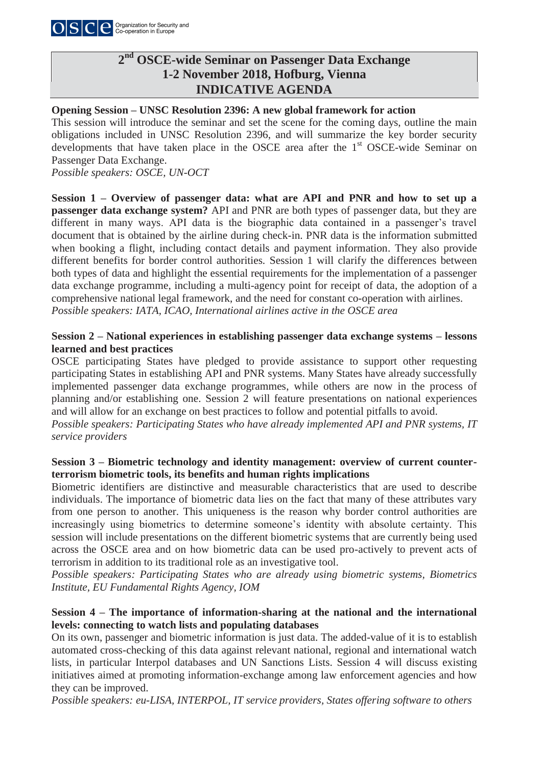

# **2nd OSCE-wide Seminar on Passenger Data Exchange 1-2 November 2018, Hofburg, Vienna INDICATIVE AGENDA**

## **Opening Session – UNSC Resolution 2396: A new global framework for action**

This session will introduce the seminar and set the scene for the coming days, outline the main obligations included in UNSC Resolution 2396, and will summarize the key border security developments that have taken place in the OSCE area after the 1<sup>st</sup> OSCE-wide Seminar on Passenger Data Exchange.

*Possible speakers: OSCE, UN-OCT* 

**Session 1 – Overview of passenger data: what are API and PNR and how to set up a passenger data exchange system?** API and PNR are both types of passenger data, but they are different in many ways. API data is the biographic data contained in a passenger's travel document that is obtained by the airline during check-in. PNR data is the information submitted when booking a flight, including contact details and payment information. They also provide different benefits for border control authorities. Session 1 will clarify the differences between both types of data and highlight the essential requirements for the implementation of a passenger data exchange programme, including a multi-agency point for receipt of data, the adoption of a comprehensive national legal framework, and the need for constant co-operation with airlines. *Possible speakers: IATA, ICAO, International airlines active in the OSCE area*

## **Session 2 – National experiences in establishing passenger data exchange systems – lessons learned and best practices**

OSCE participating States have pledged to provide assistance to support other requesting participating States in establishing API and PNR systems. Many States have already successfully implemented passenger data exchange programmes, while others are now in the process of planning and/or establishing one. Session 2 will feature presentations on national experiences and will allow for an exchange on best practices to follow and potential pitfalls to avoid.

*Possible speakers: Participating States who have already implemented API and PNR systems, IT service providers* 

## **Session 3 – Biometric technology and identity management: overview of current counterterrorism biometric tools, its benefits and human rights implications**

Biometric identifiers are distinctive and measurable characteristics that are used to describe individuals. The importance of biometric data lies on the fact that many of these attributes vary from one person to another. This uniqueness is the reason why border control authorities are increasingly using biometrics to determine someone's identity with absolute certainty. This session will include presentations on the different biometric systems that are currently being used across the OSCE area and on how biometric data can be used pro-actively to prevent acts of terrorism in addition to its traditional role as an investigative tool.

*Possible speakers: Participating States who are already using biometric systems, Biometrics Institute, EU Fundamental Rights Agency, IOM*

## **Session 4 – The importance of information-sharing at the national and the international levels: connecting to watch lists and populating databases**

On its own, passenger and biometric information is just data. The added-value of it is to establish automated cross-checking of this data against relevant national, regional and international watch lists, in particular Interpol databases and UN Sanctions Lists. Session 4 will discuss existing initiatives aimed at promoting information-exchange among law enforcement agencies and how they can be improved.

*Possible speakers: eu-LISA, INTERPOL, IT service providers, States offering software to others*